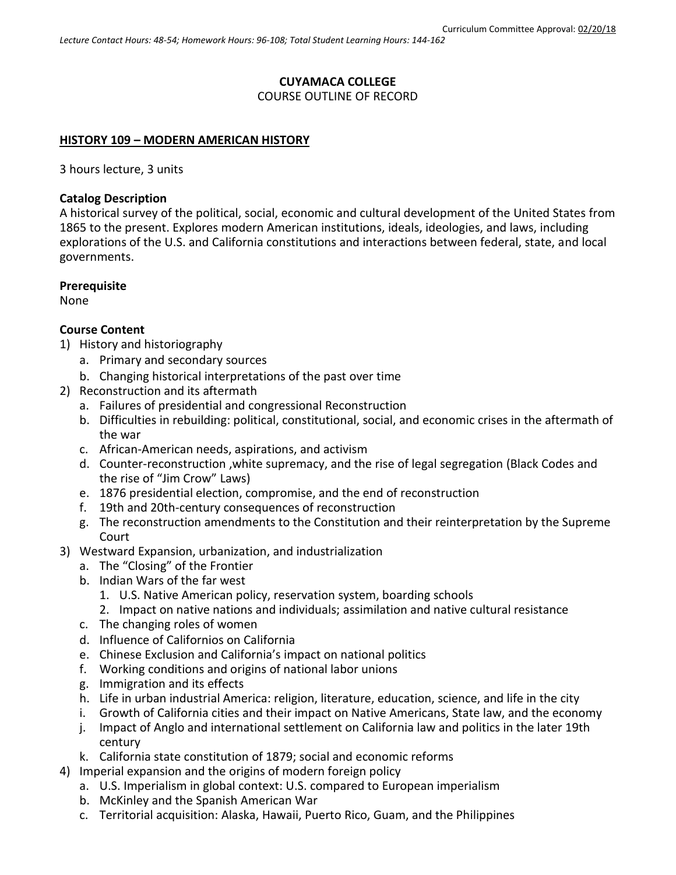# **CUYAMACA COLLEGE**

COURSE OUTLINE OF RECORD

### **HISTORY 109 – MODERN AMERICAN HISTORY**

3 hours lecture, 3 units

### **Catalog Description**

A historical survey of the political, social, economic and cultural development of the United States from 1865 to the present. Explores modern American institutions, ideals, ideologies, and laws, including explorations of the U.S. and California constitutions and interactions between federal, state, and local governments.

### **Prerequisite**

None

### **Course Content**

- 1) History and historiography
	- a. Primary and secondary sources
	- b. Changing historical interpretations of the past over time
- 2) Reconstruction and its aftermath
	- a. Failures of presidential and congressional Reconstruction
	- b. Difficulties in rebuilding: political, constitutional, social, and economic crises in the aftermath of the war
	- c. African-American needs, aspirations, and activism
	- d. Counter-reconstruction ,white supremacy, and the rise of legal segregation (Black Codes and the rise of "Jim Crow" Laws)
	- e. 1876 presidential election, compromise, and the end of reconstruction
	- f. 19th and 20th-century consequences of reconstruction
	- g. The reconstruction amendments to the Constitution and their reinterpretation by the Supreme Court
- 3) Westward Expansion, urbanization, and industrialization
	- a. The "Closing" of the Frontier
	- b. Indian Wars of the far west
		- 1. U.S. Native American policy, reservation system, boarding schools
		- 2. Impact on native nations and individuals; assimilation and native cultural resistance
	- c. The changing roles of women
	- d. Influence of Californios on California
	- e. Chinese Exclusion and California's impact on national politics
	- f. Working conditions and origins of national labor unions
	- g. Immigration and its effects
	- h. Life in urban industrial America: religion, literature, education, science, and life in the city
	- i. Growth of California cities and their impact on Native Americans, State law, and the economy
	- j. Impact of Anglo and international settlement on California law and politics in the later 19th century
	- k. California state constitution of 1879; social and economic reforms
- 4) Imperial expansion and the origins of modern foreign policy
	- a. U.S. Imperialism in global context: U.S. compared to European imperialism
	- b. McKinley and the Spanish American War
	- c. Territorial acquisition: Alaska, Hawaii, Puerto Rico, Guam, and the Philippines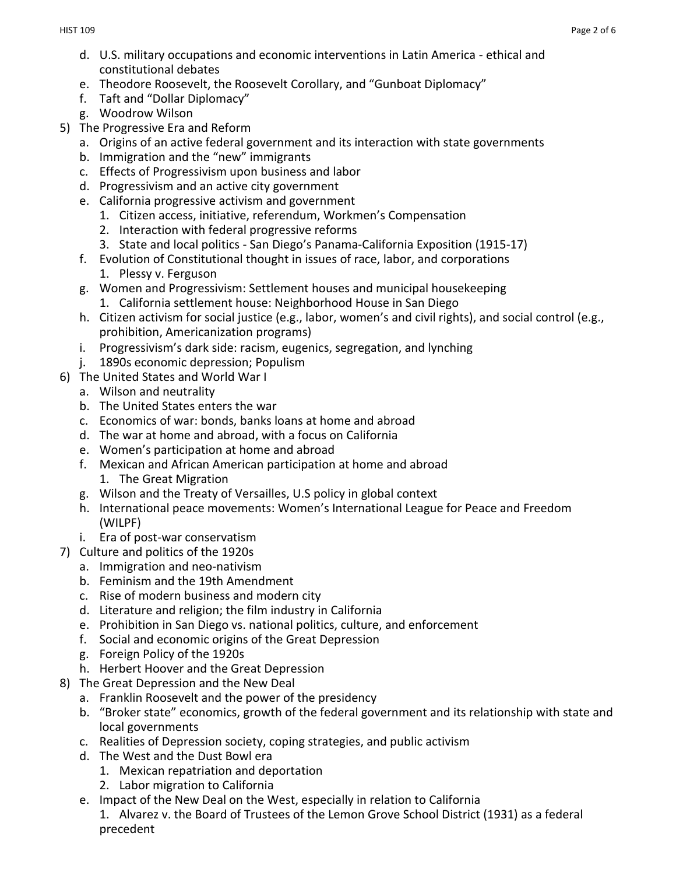- d. U.S. military occupations and economic interventions in Latin America ethical and constitutional debates
- e. Theodore Roosevelt, the Roosevelt Corollary, and "Gunboat Diplomacy"
- f. Taft and "Dollar Diplomacy"
- g. Woodrow Wilson
- 5) The Progressive Era and Reform
	- a. Origins of an active federal government and its interaction with state governments
	- b. Immigration and the "new" immigrants
	- c. Effects of Progressivism upon business and labor
	- d. Progressivism and an active city government
	- e. California progressive activism and government
		- 1. Citizen access, initiative, referendum, Workmen's Compensation
		- 2. Interaction with federal progressive reforms
		- 3. State and local politics San Diego's Panama-California Exposition (1915-17)
	- f. Evolution of Constitutional thought in issues of race, labor, and corporations 1. Plessy v. Ferguson
	- g. Women and Progressivism: Settlement houses and municipal housekeeping
		- 1. California settlement house: Neighborhood House in San Diego
	- h. Citizen activism for social justice (e.g., labor, women's and civil rights), and social control (e.g., prohibition, Americanization programs)
	- i. Progressivism's dark side: racism, eugenics, segregation, and lynching
	- j. 1890s economic depression; Populism
- 6) The United States and World War I
	- a. Wilson and neutrality
	- b. The United States enters the war
	- c. Economics of war: bonds, banks loans at home and abroad
	- d. The war at home and abroad, with a focus on California
	- e. Women's participation at home and abroad
	- f. Mexican and African American participation at home and abroad 1. The Great Migration
	- g. Wilson and the Treaty of Versailles, U.S policy in global context
	- h. International peace movements: Women's International League for Peace and Freedom (WILPF)
	- i. Era of post-war conservatism
- 7) Culture and politics of the 1920s
	- a. Immigration and neo-nativism
	- b. Feminism and the 19th Amendment
	- c. Rise of modern business and modern city
	- d. Literature and religion; the film industry in California
	- e. Prohibition in San Diego vs. national politics, culture, and enforcement
	- f. Social and economic origins of the Great Depression
	- g. Foreign Policy of the 1920s
	- h. Herbert Hoover and the Great Depression
- 8) The Great Depression and the New Deal
	- a. Franklin Roosevelt and the power of the presidency
	- b. "Broker state" economics, growth of the federal government and its relationship with state and local governments
	- c. Realities of Depression society, coping strategies, and public activism
	- d. The West and the Dust Bowl era
		- 1. Mexican repatriation and deportation
		- 2. Labor migration to California
	- e. Impact of the New Deal on the West, especially in relation to California
	- 1. Alvarez v. the Board of Trustees of the Lemon Grove School District (1931) as a federal precedent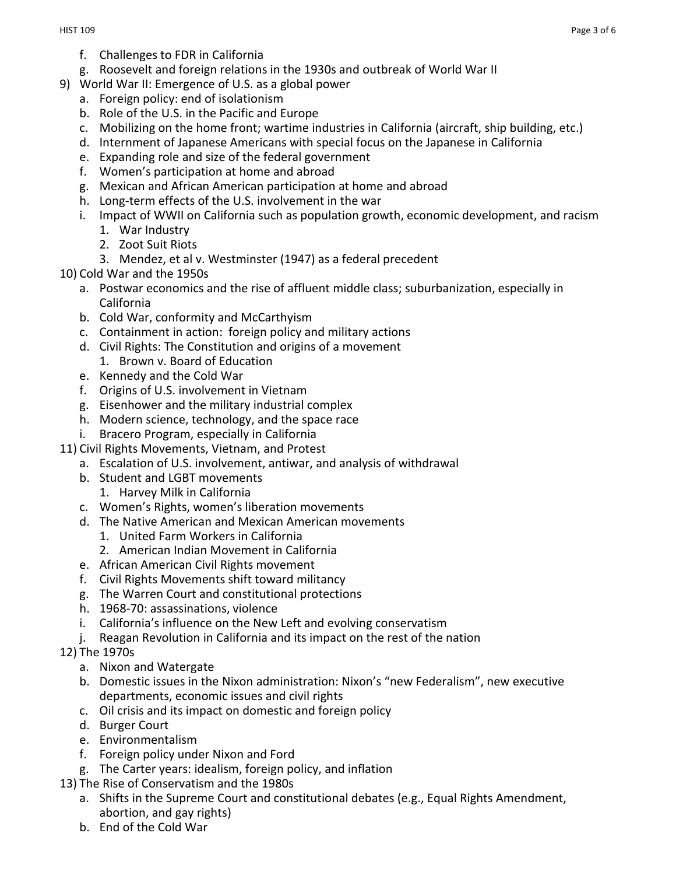- f. Challenges to FDR in California
- g. Roosevelt and foreign relations in the 1930s and outbreak of World War II
- 9) World War II: Emergence of U.S. as a global power
	- a. Foreign policy: end of isolationism
	- b. Role of the U.S. in the Pacific and Europe
	- c. Mobilizing on the home front; wartime industries in California (aircraft, ship building, etc.)
	- d. Internment of Japanese Americans with special focus on the Japanese in California
	- e. Expanding role and size of the federal government
	- f. Women's participation at home and abroad
	- g. Mexican and African American participation at home and abroad
	- h. Long-term effects of the U.S. involvement in the war
	- i. Impact of WWII on California such as population growth, economic development, and racism
		- 1. War Industry
		- 2. Zoot Suit Riots
		- 3. Mendez, et al v. Westminster (1947) as a federal precedent
- 10) Cold War and the 1950s
	- a. Postwar economics and the rise of affluent middle class; suburbanization, especially in California
	- b. Cold War, conformity and McCarthyism
	- c. Containment in action: foreign policy and military actions
	- d. Civil Rights: The Constitution and origins of a movement
	- 1. Brown v. Board of Education
	- e. Kennedy and the Cold War
	- f. Origins of U.S. involvement in Vietnam
	- g. Eisenhower and the military industrial complex
	- h. Modern science, technology, and the space race
	- i. Bracero Program, especially in California
- 11) Civil Rights Movements, Vietnam, and Protest
	- a. Escalation of U.S. involvement, antiwar, and analysis of withdrawal
	- b. Student and LGBT movements
		- 1. Harvey Milk in California
	- c. Women's Rights, women's liberation movements
	- d. The Native American and Mexican American movements
		- 1. United Farm Workers in California
		- 2. American Indian Movement in California
	- e. African American Civil Rights movement
	- f. Civil Rights Movements shift toward militancy
	- g. The Warren Court and constitutional protections
	- h. 1968-70: assassinations, violence
	- i. California's influence on the New Left and evolving conservatism
	- j. Reagan Revolution in California and its impact on the rest of the nation
- 12) The 1970s
	- a. Nixon and Watergate
	- b. Domestic issues in the Nixon administration: Nixon's "new Federalism", new executive departments, economic issues and civil rights
	- c. Oil crisis and its impact on domestic and foreign policy
	- d. Burger Court
	- e. Environmentalism
	- f. Foreign policy under Nixon and Ford
	- g. The Carter years: idealism, foreign policy, and inflation
- 13) The Rise of Conservatism and the 1980s
	- a. Shifts in the Supreme Court and constitutional debates (e.g., Equal Rights Amendment, abortion, and gay rights)
	- b. End of the Cold War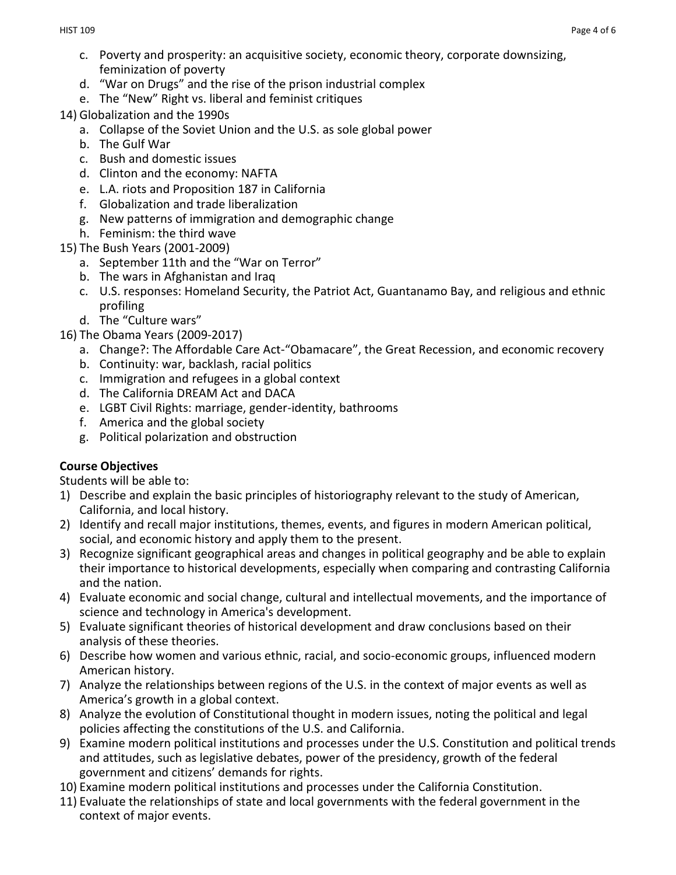- c. Poverty and prosperity: an acquisitive society, economic theory, corporate downsizing, feminization of poverty
- d. "War on Drugs" and the rise of the prison industrial complex
- e. The "New" Right vs. liberal and feminist critiques
- 14) Globalization and the 1990s
	- a. Collapse of the Soviet Union and the U.S. as sole global power
	- b. The Gulf War
	- c. Bush and domestic issues
	- d. Clinton and the economy: NAFTA
	- e. L.A. riots and Proposition 187 in California
	- f. Globalization and trade liberalization
	- g. New patterns of immigration and demographic change
	- h. Feminism: the third wave
- 15) The Bush Years (2001-2009)
	- a. September 11th and the "War on Terror"
	- b. The wars in Afghanistan and Iraq
	- c. U.S. responses: Homeland Security, the Patriot Act, Guantanamo Bay, and religious and ethnic profiling
	- d. The "Culture wars"
- 16) The Obama Years (2009-2017)
	- a. Change?: The Affordable Care Act-"Obamacare", the Great Recession, and economic recovery
	- b. Continuity: war, backlash, racial politics
	- c. Immigration and refugees in a global context
	- d. The California DREAM Act and DACA
	- e. LGBT Civil Rights: marriage, gender-identity, bathrooms
	- f. America and the global society
	- g. Political polarization and obstruction

# **Course Objectives**

Students will be able to:

- 1) Describe and explain the basic principles of historiography relevant to the study of American, California, and local history.
- 2) Identify and recall major institutions, themes, events, and figures in modern American political, social, and economic history and apply them to the present.
- 3) Recognize significant geographical areas and changes in political geography and be able to explain their importance to historical developments, especially when comparing and contrasting California and the nation.
- 4) Evaluate economic and social change, cultural and intellectual movements, and the importance of science and technology in America's development.
- 5) Evaluate significant theories of historical development and draw conclusions based on their analysis of these theories.
- 6) Describe how women and various ethnic, racial, and socio-economic groups, influenced modern American history.
- 7) Analyze the relationships between regions of the U.S. in the context of major events as well as America's growth in a global context.
- 8) Analyze the evolution of Constitutional thought in modern issues, noting the political and legal policies affecting the constitutions of the U.S. and California.
- 9) Examine modern political institutions and processes under the U.S. Constitution and political trends and attitudes, such as legislative debates, power of the presidency, growth of the federal government and citizens' demands for rights.
- 10) Examine modern political institutions and processes under the California Constitution.
- 11) Evaluate the relationships of state and local governments with the federal government in the context of major events.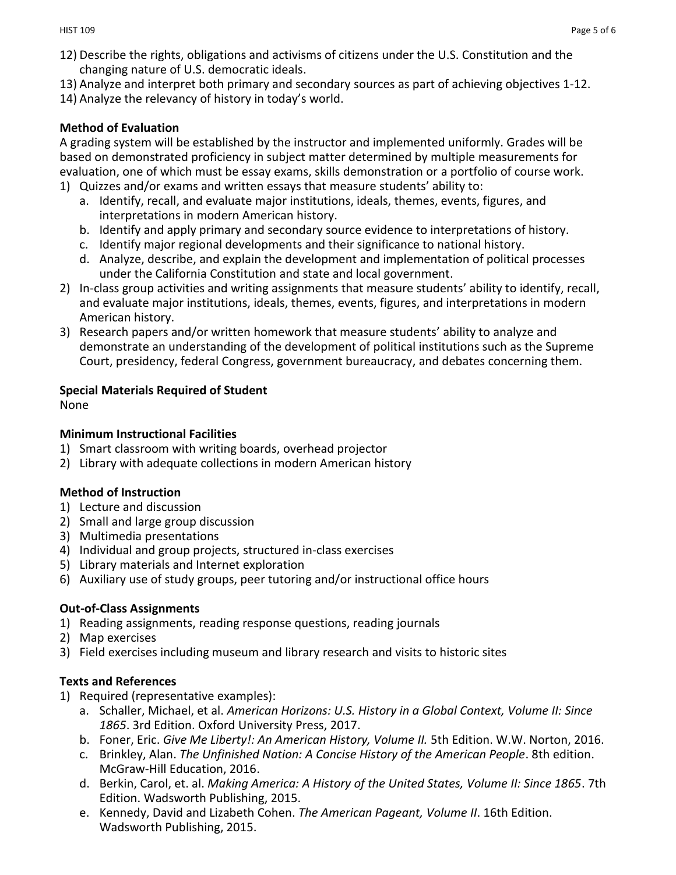- 12) Describe the rights, obligations and activisms of citizens under the U.S. Constitution and the changing nature of U.S. democratic ideals.
- 13) Analyze and interpret both primary and secondary sources as part of achieving objectives 1-12.
- 14) Analyze the relevancy of history in today's world.

## **Method of Evaluation**

A grading system will be established by the instructor and implemented uniformly. Grades will be based on demonstrated proficiency in subject matter determined by multiple measurements for evaluation, one of which must be essay exams, skills demonstration or a portfolio of course work.

- 1) Quizzes and/or exams and written essays that measure students' ability to:
	- a. Identify, recall, and evaluate major institutions, ideals, themes, events, figures, and interpretations in modern American history.
	- b. Identify and apply primary and secondary source evidence to interpretations of history.
	- c. Identify major regional developments and their significance to national history.
	- d. Analyze, describe, and explain the development and implementation of political processes under the California Constitution and state and local government.
- 2) In-class group activities and writing assignments that measure students' ability to identify, recall, and evaluate major institutions, ideals, themes, events, figures, and interpretations in modern American history.
- 3) Research papers and/or written homework that measure students' ability to analyze and demonstrate an understanding of the development of political institutions such as the Supreme Court, presidency, federal Congress, government bureaucracy, and debates concerning them.

## **Special Materials Required of Student**

None

# **Minimum Instructional Facilities**

- 1) Smart classroom with writing boards, overhead projector
- 2) Library with adequate collections in modern American history

# **Method of Instruction**

- 1) Lecture and discussion
- 2) Small and large group discussion
- 3) Multimedia presentations
- 4) Individual and group projects, structured in-class exercises
- 5) Library materials and Internet exploration
- 6) Auxiliary use of study groups, peer tutoring and/or instructional office hours

# **Out-of-Class Assignments**

- 1) Reading assignments, reading response questions, reading journals
- 2) Map exercises
- 3) Field exercises including museum and library research and visits to historic sites

### **Texts and References**

- 1) Required (representative examples):
	- a. Schaller, Michael, et al. *American Horizons: U.S. History in a Global Context, Volume II: Since 1865*. 3rd Edition. Oxford University Press, 2017.
	- b. Foner, Eric. *Give Me Liberty!: An American History, Volume II.* 5th Edition. W.W. Norton, 2016.
	- c. Brinkley, Alan. *The Unfinished Nation: A Concise History of the American People*. 8th edition. McGraw-Hill Education, 2016.
	- d. Berkin, Carol, et. al. *Making America: A History of the United States, Volume II: Since 1865*. 7th Edition. Wadsworth Publishing, 2015.
	- e. Kennedy, David and Lizabeth Cohen. *The American Pageant, Volume II*. 16th Edition. Wadsworth Publishing, 2015.